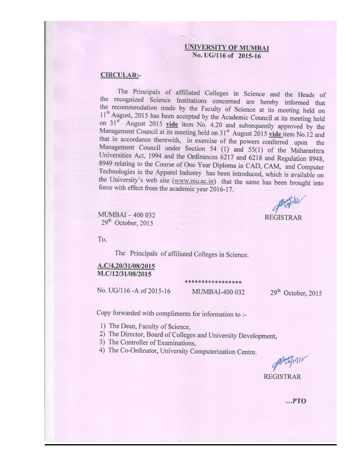#### **UNIVERSITY OF MUMBAI** No. UG/116 of 2015-16

#### **CIRCULAR:-**

The Principals of affiliated Colleges in Science and the Heads of the recognized Science Institutions concerned are hereby informed that the recommendation made by the Faculty of Science at its meeting held on 11<sup>th</sup> August, 2015 has been accepted by the Academic Council at its meeting held on 31<sup>st</sup> August 2015 vide item No. 4.20 and subsequently approved by the Management Council at its meeting held on 31<sup>st</sup> August 2015 vide item No.12 and that in accordance therewith, in exercise of the powers conferred upon the Management Council under Section 54 (1) and 55(1) of the Maharashtra Universities Act, 1994 and the Ordinances 6217 and 6218 and Regulation 8948, 8949 relating to the Course of One Year Diploma in CAD, CAM, and Computer Technologies in the Apparel Industry has been introduced, which is available on the University's web site (www.mu.ac.in) that the same has been brought into force with effect from the academic year 2016-17.

 $21011$ **REGISTRAR** 

MUMBAI-400 032 29<sup>th</sup> October, 2015

To,

The Principals of affiliated Colleges in Science.

#### A.C/4.20/31/08/2015 M.C/12/31/08/2015

No. UG/116 - A of 2015-16

\*\*\*\*\*\*\*\*\*\*\*\*\*\*\*\* **MUMBAI-400 032** 

29<sup>th</sup> October, 2015

Copy forwarded with compliments for information to :-

1) The Dean, Faculty of Science,

- 2) The Director, Board of Colleges and University Development,
- 3) The Controller of Examinations,
- 4) The Co-Ordinator, University Computerization Centre.

9000011 **REGISTRAR** 

 $...$ PTO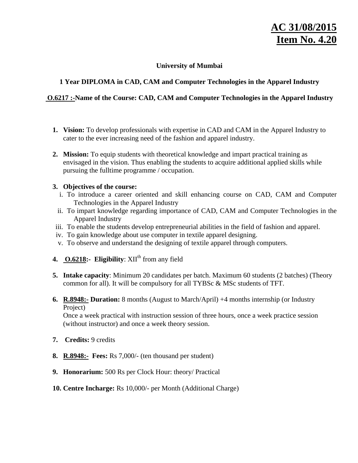# AC 31/08/201 **Item No. 4.20**

# **University of Mumbai**

# **1 Year DIPLOMA in CAD, CAM and Computer Technologies in the Apparel Industry**

# **O.6217 :-Name of the Course: CAD, CAM and Computer Technologies in the Apparel Industry**

- **1. Vision:** To develop professionals with expertise in CAD and CAM in the Apparel Industry to cater to the ever increasing need of the fashion and apparel industry.
- **2. Mission:** To equip students with theoretical knowledge and impart practical training as envisaged in the vision. Thus enabling the students to acquire additional applied skills while pursuing the fulltime programme / occupation.

#### **3. Objectives of the course:**

- i. To introduce a career oriented and skill enhancing course on CAD, CAM and Computer Technologies in the Apparel Industry
- ii. To impart knowledge regarding importance of CAD, CAM and Computer Technologies in the Apparel Industry
- iii. To enable the students develop entrepreneurial abilities in the field of fashion and apparel.
- iv. To gain knowledge about use computer in textile apparel designing.
- v. To observe and understand the designing of textile apparel through computers.
- **4. 0.6218:** Eligibility:  $XII^{th}$  from any field
- **5. Intake capacity**: Minimum 20 candidates per batch. Maximum 60 students (2 batches) (Theory common for all). It will be compulsory for all TYBSc & MSc students of TFT.
- **6. R.8948:- Duration:** 8 months (August to March/April) +4 months internship (or Industry Project)

Once a week practical with instruction session of three hours, once a week practice session (without instructor) and once a week theory session.

- **7. Credits:** 9 credits
- **8. R.8948:- Fees:** Rs 7,000/- (ten thousand per student)
- **9. Honorarium:** 500 Rs per Clock Hour: theory/ Practical
- **10. Centre Incharge:** Rs 10,000/- per Month (Additional Charge)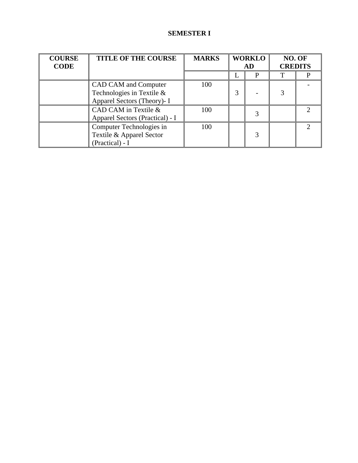# **SEMESTER I**

| <b>COURSE</b><br><b>CODE</b> | <b>TITLE OF THE COURSE</b>      | <b>MARKS</b> | <b>WORKLO</b><br>AD |   | NO. OF<br><b>CREDITS</b> |  |
|------------------------------|---------------------------------|--------------|---------------------|---|--------------------------|--|
|                              |                                 |              |                     | р |                          |  |
|                              | CAD CAM and Computer            | 100          |                     |   |                          |  |
|                              | Technologies in Textile &       |              | 3                   |   |                          |  |
|                              | Apparel Sectors (Theory)- I     |              |                     |   |                          |  |
|                              | CAD CAM in Textile &            | 100          |                     |   |                          |  |
|                              | Apparel Sectors (Practical) - I |              |                     |   |                          |  |
|                              | Computer Technologies in        | 100          |                     |   |                          |  |
|                              | Textile & Apparel Sector        |              |                     | 3 |                          |  |
|                              | (Practical) - I                 |              |                     |   |                          |  |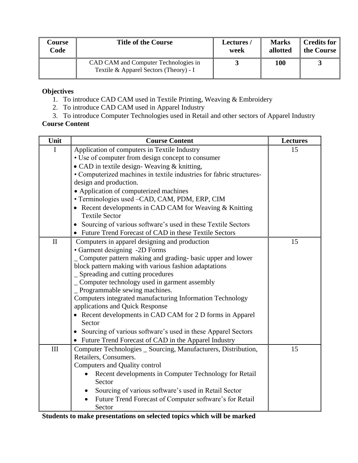| Course | <b>Title of the Course</b>                                                     | Lectures/ | <b>Marks</b> | <b>Credits for</b> |
|--------|--------------------------------------------------------------------------------|-----------|--------------|--------------------|
| Code   |                                                                                | week      | allotted     | the Course         |
|        | CAD CAM and Computer Technologies in<br>Textile & Apparel Sectors (Theory) - I |           | 100          |                    |

- 1. To introduce CAD CAM used in Textile Printing, Weaving & Embroidery
- 2. To introduce CAD CAM used in Apparel Industry
- 3. To introduce Computer Technologies used in Retail and other sectors of Apparel Industry

# **Course Content**

| Unit         | <b>Course Content</b>                                                     | <b>Lectures</b> |
|--------------|---------------------------------------------------------------------------|-----------------|
| I            | Application of computers in Textile Industry                              | 15              |
|              | • Use of computer from design concept to consumer                         |                 |
|              | • CAD in textile design-Weaving & knitting,                               |                 |
|              | • Computerized machines in textile industries for fabric structures-      |                 |
|              | design and production.                                                    |                 |
|              | • Application of computerized machines                                    |                 |
|              | • Terminologies used -CAD, CAM, PDM, ERP, CIM                             |                 |
|              | • Recent developments in CAD CAM for Weaving $&$ Knitting                 |                 |
|              | <b>Textile Sector</b>                                                     |                 |
|              | • Sourcing of various software's used in these Textile Sectors            |                 |
|              | Future Trend Forecast of CAD in these Textile Sectors                     |                 |
| $\mathbf{I}$ | Computers in apparel designing and production                             | 15              |
|              | • Garment designing -2D Forms                                             |                 |
|              | _ Computer pattern making and grading- basic upper and lower              |                 |
|              | block pattern making with various fashion adaptations                     |                 |
|              | Spreading and cutting procedures                                          |                 |
|              | _ Computer technology used in garment assembly                            |                 |
|              | Programmable sewing machines.                                             |                 |
|              | Computers integrated manufacturing Information Technology                 |                 |
|              | applications and Quick Response                                           |                 |
|              | • Recent developments in CAD CAM for 2 D forms in Apparel                 |                 |
|              | Sector                                                                    |                 |
|              | Sourcing of various software's used in these Apparel Sectors<br>$\bullet$ |                 |
|              | • Future Trend Forecast of CAD in the Apparel Industry                    |                 |
| III          | Computer Technologies _ Sourcing, Manufacturers, Distribution,            | 15              |
|              | Retailers, Consumers.                                                     |                 |
|              | Computers and Quality control                                             |                 |
|              | Recent developments in Computer Technology for Retail                     |                 |
|              | Sector                                                                    |                 |
|              | Sourcing of various software's used in Retail Sector                      |                 |
|              | Future Trend Forecast of Computer software's for Retail                   |                 |
|              | Sector                                                                    |                 |

**Students to make presentations on selected topics which will be marked**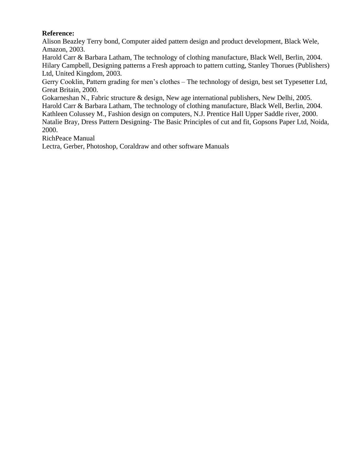### **Reference:**

Alison Beazley Terry bond, Computer aided pattern design and product development, Black Wele, Amazon, 2003.

Harold Carr & Barbara Latham, The technology of clothing manufacture, Black Well, Berlin, 2004. Hilary Campbell, Designing patterns a Fresh approach to pattern cutting, Stanley Thorues (Publishers) Ltd, United Kingdom, 2003.

Gerry Cooklin, Pattern grading for men's clothes – The technology of design, best set Typesetter Ltd, Great Britain, 2000.

Gokarneshan N., Fabric structure & design, New age international publishers, New Delhi, 2005. Harold Carr & Barbara Latham, The technology of clothing manufacture, Black Well, Berlin, 2004. Kathleen Colussey M., Fashion design on computers, N.J. Prentice Hall Upper Saddle river, 2000. Natalie Bray, Dress Pattern Designing- The Basic Principles of cut and fit, Gopsons Paper Ltd, Noida, 2000.

RichPeace Manual

Lectra, Gerber, Photoshop, Coraldraw and other software Manuals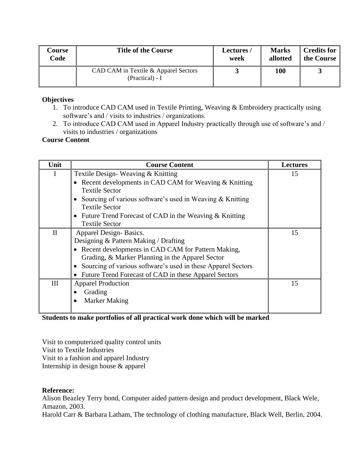| Course | <b>Title of the Course</b>                              | Lectures/ | <b>Marks</b> | <b>Credits for</b> |
|--------|---------------------------------------------------------|-----------|--------------|--------------------|
| Code   |                                                         | week      | allotted     | the Course         |
|        | CAD CAM in Textile & Apparel Sectors<br>(Practical) - I |           | 100          |                    |

- 1. To introduce CAD CAM used in Textile Printing, Weaving & Embroidery practically using software's and / visits to industries / organizations.
- 2. To introduce CAD CAM used in Apparel Industry practically through use of software's and / visits to industries / organizations

#### **Course Content**

| Unit        | <b>Course Content</b>                                                                 | <b>Lectures</b> |
|-------------|---------------------------------------------------------------------------------------|-----------------|
|             | Textile Design-Weaving & Knitting                                                     | 15              |
|             | Recent developments in CAD CAM for Weaving & Knitting<br><b>Textile Sector</b>        |                 |
|             | Sourcing of various software's used in Weaving $\&$ Knitting<br><b>Textile Sector</b> |                 |
|             | Future Trend Forecast of CAD in the Weaving & Knitting<br><b>Textile Sector</b>       |                 |
| $_{\rm II}$ | Apparel Design-Basics.                                                                | 15              |
|             | Designing & Pattern Making / Drafting                                                 |                 |
|             | • Recent developments in CAD CAM for Pattern Making,                                  |                 |
|             | Grading, & Marker Planning in the Apparel Sector                                      |                 |
|             | Sourcing of various software's used in these Apparel Sectors                          |                 |
|             | Future Trend Forecast of CAD in these Apparel Sectors                                 |                 |
| Ш           | <b>Apparel Production</b>                                                             | 15              |
|             | Grading                                                                               |                 |
|             | <b>Marker Making</b>                                                                  |                 |

#### **Students to make portfolios of all practical work done which will be marked**

Visit to computerized quality control units Visit to Textile Industries Visit to a fashion and apparel Industry Internship in design house & apparel

#### **Reference:**

Alison Beazley Terry bond, Computer aided pattern design and product development, Black Wele, Amazon, 2003.

Harold Carr & Barbara Latham, The technology of clothing manufacture, Black Well, Berlin, 2004.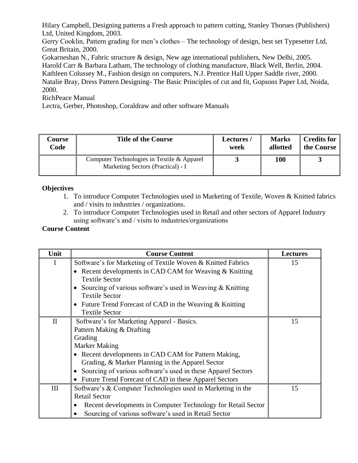Hilary Campbell, Designing patterns a Fresh approach to pattern cutting, Stanley Thorues (Publishers) Ltd, United Kingdom, 2003.

Gerry Cooklin, Pattern grading for men's clothes – The technology of design, best set Typesetter Ltd, Great Britain, 2000.

Gokarneshan N., Fabric structure & design, New age international publishers, New Delhi, 2005. Harold Carr & Barbara Latham, The technology of clothing manufacture, Black Well, Berlin, 2004. Kathleen Colussey M., Fashion design on computers, N.J. Prentice Hall Upper Saddle river, 2000. Natalie Bray, Dress Pattern Designing- The Basic Principles of cut and fit, Gopsons Paper Ltd, Noida, 2000.

RichPeace Manual

Lectra, Gerber, Photoshop, Coraldraw and other software Manuals

| <b>Course</b> | <b>Title of the Course</b>                                                      | Lectures/ | <b>Marks</b> | <b>Credits for</b> |
|---------------|---------------------------------------------------------------------------------|-----------|--------------|--------------------|
| Code          |                                                                                 | week      | allotted     | the Course         |
|               | Computer Technologies in Textile & Apparel<br>Marketing Sectors (Practical) - I |           | 100          |                    |

## **Objectives**

- 1. To introduce Computer Technologies used in Marketing of Textile, Woven & Knitted fabrics and / visits to industries / organizations.
- 2. To introduce Computer Technologies used in Retail and other sectors of Apparel Industry using software's and / visits to industries/organizations

#### **Course Content**

| Unit         | <b>Course Content</b>                                        | <b>Lectures</b> |
|--------------|--------------------------------------------------------------|-----------------|
| I            | Software's for Marketing of Textile Woven & Knitted Fabrics  | 15              |
|              | • Recent developments in CAD CAM for Weaving & Knitting      |                 |
|              | <b>Textile Sector</b>                                        |                 |
|              | Sourcing of various software's used in Weaving $\&$ Knitting |                 |
|              | <b>Textile Sector</b>                                        |                 |
|              | Future Trend Forecast of CAD in the Weaving & Knitting       |                 |
|              | <b>Textile Sector</b>                                        |                 |
| $\mathbf{I}$ | Software's for Marketing Apparel - Basics.                   | 15              |
|              | Pattern Making & Drafting                                    |                 |
|              | Grading                                                      |                 |
|              | <b>Marker Making</b>                                         |                 |
|              | Recent developments in CAD CAM for Pattern Making,           |                 |
|              | Grading, & Marker Planning in the Apparel Sector             |                 |
|              | Sourcing of various software's used in these Apparel Sectors |                 |
|              | Future Trend Forecast of CAD in these Apparel Sectors        |                 |
| III          | Software's & Computer Technologies used in Marketing in the  | 15              |
|              | <b>Retail Sector</b>                                         |                 |
|              | Recent developments in Computer Technology for Retail Sector |                 |
|              | Sourcing of various software's used in Retail Sector         |                 |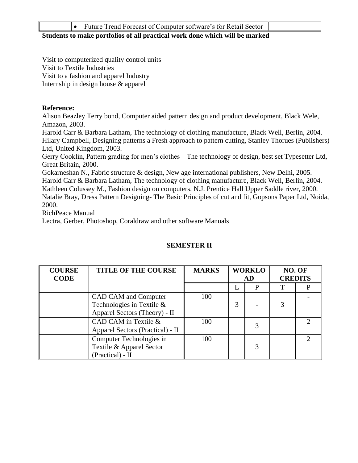|--|

#### **Students to make portfolios of all practical work done which will be marked**

Visit to computerized quality control units Visit to Textile Industries Visit to a fashion and apparel Industry Internship in design house & apparel

#### **Reference:**

Alison Beazley Terry bond, Computer aided pattern design and product development, Black Wele, Amazon, 2003.

Harold Carr & Barbara Latham, The technology of clothing manufacture, Black Well, Berlin, 2004. Hilary Campbell, Designing patterns a Fresh approach to pattern cutting, Stanley Thorues (Publishers) Ltd, United Kingdom, 2003.

Gerry Cooklin, Pattern grading for men's clothes – The technology of design, best set Typesetter Ltd, Great Britain, 2000.

Gokarneshan N., Fabric structure & design, New age international publishers, New Delhi, 2005. Harold Carr & Barbara Latham, The technology of clothing manufacture, Black Well, Berlin, 2004. Kathleen Colussey M., Fashion design on computers, N.J. Prentice Hall Upper Saddle river, 2000. Natalie Bray, Dress Pattern Designing- The Basic Principles of cut and fit, Gopsons Paper Ltd, Noida, 2000.

RichPeace Manual

Lectra, Gerber, Photoshop, Coraldraw and other software Manuals

#### **COURSE CODE TITLE OF THE COURSE** MARKS WORKLO **AD NO. OF CREDITS**  $L \parallel P \parallel T \parallel P$ CAD CAM and Computer Technologies in Textile & Apparel Sectors (Theory) - II 100  $3$  - 3 - CAD CAM in Textile & Apparel Sectors (Practical) - II  $100$   $3$ 2 Computer Technologies in Textile & Apparel Sector (Practical) - II 100 3 2

#### **SEMESTER II**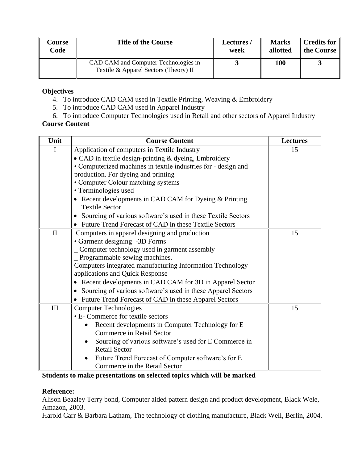| Course | <b>Title of the Course</b>                                                    | Lectures/ | <b>Marks</b> | <b>Credits for</b> |
|--------|-------------------------------------------------------------------------------|-----------|--------------|--------------------|
| Code   |                                                                               | week      | allotted     | the Course         |
|        | CAD CAM and Computer Technologies in<br>Textile & Apparel Sectors (Theory) II |           | 100          |                    |

- 4. To introduce CAD CAM used in Textile Printing, Weaving & Embroidery
- 5. To introduce CAD CAM used in Apparel Industry
- 6. To introduce Computer Technologies used in Retail and other sectors of Apparel Industry

#### **Course Content**

| Unit         | <b>Course Content</b>                                                     | <b>Lectures</b> |
|--------------|---------------------------------------------------------------------------|-----------------|
| $\mathbf I$  | Application of computers in Textile Industry                              | 15              |
|              | • CAD in textile design-printing & dyeing, Embroidery                     |                 |
|              | • Computerized machines in textile industries for - design and            |                 |
|              | production. For dyeing and printing                                       |                 |
|              | • Computer Colour matching systems                                        |                 |
|              | • Terminologies used                                                      |                 |
|              | • Recent developments in CAD CAM for Dyeing & Printing                    |                 |
|              | <b>Textile Sector</b>                                                     |                 |
|              | Sourcing of various software's used in these Textile Sectors              |                 |
|              | Future Trend Forecast of CAD in these Textile Sectors<br>$\bullet$        |                 |
| $\mathbf{I}$ | Computers in apparel designing and production                             | 15              |
|              | • Garment designing -3D Forms                                             |                 |
|              | Computer technology used in garment assembly                              |                 |
|              | Programmable sewing machines.                                             |                 |
|              | Computers integrated manufacturing Information Technology                 |                 |
|              | applications and Quick Response                                           |                 |
|              | Recent developments in CAD CAM for 3D in Apparel Sector                   |                 |
|              | Sourcing of various software's used in these Apparel Sectors<br>$\bullet$ |                 |
|              | • Future Trend Forecast of CAD in these Apparel Sectors                   |                 |
| III          | <b>Computer Technologies</b>                                              | 15              |
|              | • E- Commerce for textile sectors                                         |                 |
|              | Recent developments in Computer Technology for E                          |                 |
|              | <b>Commerce in Retail Sector</b>                                          |                 |
|              | Sourcing of various software's used for E Commerce in                     |                 |
|              | <b>Retail Sector</b>                                                      |                 |
|              | Future Trend Forecast of Computer software's for E                        |                 |
|              | Commerce in the Retail Sector                                             |                 |

**Students to make presentations on selected topics which will be marked**

#### **Reference:**

Alison Beazley Terry bond, Computer aided pattern design and product development, Black Wele, Amazon, 2003.

Harold Carr & Barbara Latham, The technology of clothing manufacture, Black Well, Berlin, 2004.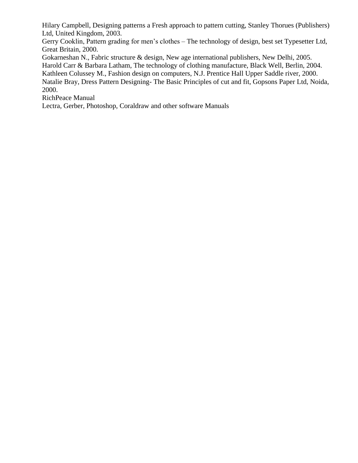Hilary Campbell, Designing patterns a Fresh approach to pattern cutting, Stanley Thorues (Publishers) Ltd, United Kingdom, 2003.

Gerry Cooklin, Pattern grading for men's clothes – The technology of design, best set Typesetter Ltd, Great Britain, 2000.

Gokarneshan N., Fabric structure & design, New age international publishers, New Delhi, 2005. Harold Carr & Barbara Latham, The technology of clothing manufacture, Black Well, Berlin, 2004. Kathleen Colussey M., Fashion design on computers, N.J. Prentice Hall Upper Saddle river, 2000. Natalie Bray, Dress Pattern Designing- The Basic Principles of cut and fit, Gopsons Paper Ltd, Noida, 2000.

RichPeace Manual

Lectra, Gerber, Photoshop, Coraldraw and other software Manuals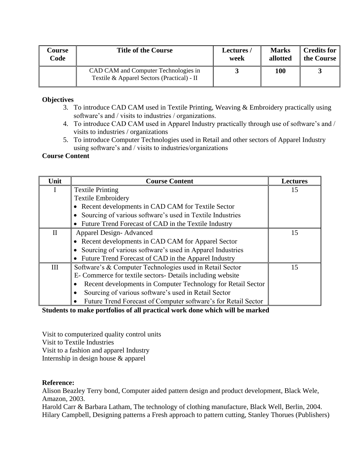| Course | <b>Title of the Course</b>                                                         | Lectures/ | <b>Marks</b> | Credits for |
|--------|------------------------------------------------------------------------------------|-----------|--------------|-------------|
| Code   |                                                                                    | week      | allotted     | the Course  |
|        | CAD CAM and Computer Technologies in<br>Textile & Apparel Sectors (Practical) - II |           | 100          |             |

- 3. To introduce CAD CAM used in Textile Printing, Weaving & Embroidery practically using software's and / visits to industries / organizations.
- 4. To introduce CAD CAM used in Apparel Industry practically through use of software's and / visits to industries / organizations
- 5. To introduce Computer Technologies used in Retail and other sectors of Apparel Industry using software's and / visits to industries/organizations

#### **Course Content**

| Unit         | <b>Course Content</b>                                          | <b>Lectures</b> |
|--------------|----------------------------------------------------------------|-----------------|
| $\mathbf{I}$ | <b>Textile Printing</b>                                        | 15              |
|              | <b>Textile Embroidery</b>                                      |                 |
|              | Recent developments in CAD CAM for Textile Sector              |                 |
|              | Sourcing of various software's used in Textile Industries      |                 |
|              | Future Trend Forecast of CAD in the Textile Industry           |                 |
| $\mathbf{H}$ | <b>Apparel Design-Advanced</b>                                 | 15              |
|              | • Recent developments in CAD CAM for Apparel Sector            |                 |
|              | Sourcing of various software's used in Apparel Industries      |                 |
|              | Future Trend Forecast of CAD in the Apparel Industry           |                 |
| III          | Software's & Computer Technologies used in Retail Sector       | 15              |
|              | E- Commerce for textile sectors- Details including website     |                 |
|              | Recent developments in Computer Technology for Retail Sector   |                 |
|              | Sourcing of various software's used in Retail Sector           |                 |
|              | Future Trend Forecast of Computer software's for Retail Sector |                 |

#### **Students to make portfolios of all practical work done which will be marked**

Visit to computerized quality control units Visit to Textile Industries Visit to a fashion and apparel Industry Internship in design house & apparel

#### **Reference:**

Alison Beazley Terry bond, Computer aided pattern design and product development, Black Wele, Amazon, 2003.

Harold Carr & Barbara Latham, The technology of clothing manufacture, Black Well, Berlin, 2004. Hilary Campbell, Designing patterns a Fresh approach to pattern cutting, Stanley Thorues (Publishers)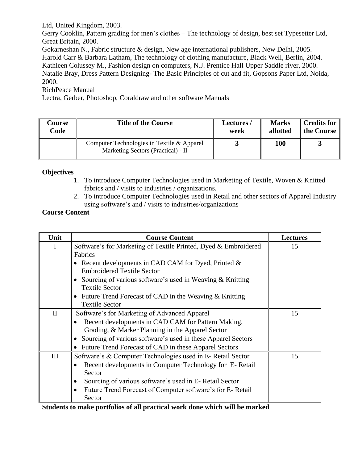Ltd, United Kingdom, 2003.

Gerry Cooklin, Pattern grading for men's clothes – The technology of design, best set Typesetter Ltd, Great Britain, 2000.

Gokarneshan N., Fabric structure & design, New age international publishers, New Delhi, 2005. Harold Carr & Barbara Latham, The technology of clothing manufacture, Black Well, Berlin, 2004. Kathleen Colussey M., Fashion design on computers, N.J. Prentice Hall Upper Saddle river, 2000. Natalie Bray, Dress Pattern Designing- The Basic Principles of cut and fit, Gopsons Paper Ltd, Noida, 2000.

RichPeace Manual

Lectra, Gerber, Photoshop, Coraldraw and other software Manuals

| Course | <b>Title of the Course</b>                                                       | <b>Lectures /</b> | <b>Marks</b> | Credits for |
|--------|----------------------------------------------------------------------------------|-------------------|--------------|-------------|
| Code   |                                                                                  | week              | allotted     | the Course  |
|        | Computer Technologies in Textile & Apparel<br>Marketing Sectors (Practical) - II |                   | 100          |             |

#### **Objectives**

- 1. To introduce Computer Technologies used in Marketing of Textile, Woven & Knitted fabrics and / visits to industries / organizations.
- 2. To introduce Computer Technologies used in Retail and other sectors of Apparel Industry using software's and / visits to industries/organizations

#### **Course Content**

| Unit     | <b>Course Content</b>                                                                        | <b>Lectures</b> |
|----------|----------------------------------------------------------------------------------------------|-----------------|
| I        | Software's for Marketing of Textile Printed, Dyed & Embroidered                              | 15              |
|          | Fabrics                                                                                      |                 |
|          | • Recent developments in CAD CAM for Dyed, Printed $\&$<br><b>Embroidered Textile Sector</b> |                 |
|          | Sourcing of various software's used in Weaving & Knitting<br><b>Textile Sector</b>           |                 |
|          | • Future Trend Forecast of CAD in the Weaving $&$ Knitting<br><b>Textile Sector</b>          |                 |
| $\rm II$ | Software's for Marketing of Advanced Apparel                                                 | 15              |
|          | Recent developments in CAD CAM for Pattern Making,                                           |                 |
|          | Grading, & Marker Planning in the Apparel Sector                                             |                 |
|          | Sourcing of various software's used in these Apparel Sectors                                 |                 |
|          | Future Trend Forecast of CAD in these Apparel Sectors                                        |                 |
| III      | Software's & Computer Technologies used in E- Retail Sector                                  | 15              |
|          | Recent developments in Computer Technology for E-Retail                                      |                 |
|          | Sector                                                                                       |                 |
|          | Sourcing of various software's used in E- Retail Sector                                      |                 |
|          | Future Trend Forecast of Computer software's for E-Retail                                    |                 |
|          | Sector                                                                                       |                 |

**Students to make portfolios of all practical work done which will be marked**